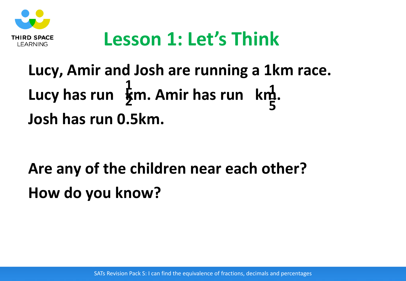

#### **Lesson 1: Let's Think**

#### **Lucy, Amir and Josh are running a 1km race.** Lucy has run  $\oint$ m. Amir has run km. **Josh has run 0.5km. 1 2 1 5**

## **Are any of the children near each other? How do you know?**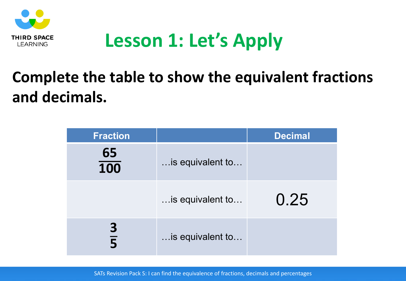

## **Lesson 1: Let's Apply**

#### **Complete the table to show the equivalent fractions and decimals.**

| <b>Fraction</b>     |                  | <b>Decimal</b> |
|---------------------|------------------|----------------|
| 65<br>100           | is equivalent to |                |
|                     | is equivalent to | 0.25           |
| 3<br>$\overline{5}$ | is equivalent to |                |

SATs Revision Pack S: I can find the equivalence of fractions, decimals and percentages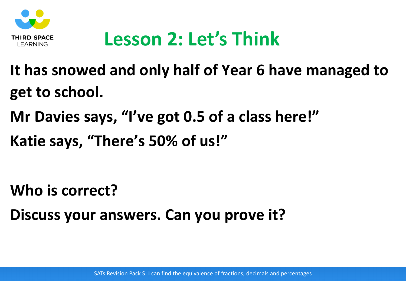

# **Lesson 2: Let's Think**

- **It has snowed and only half of Year 6 have managed to get to school.**
- **Mr Davies says, "I've got 0.5 of a class here!"**
- **Katie says, "There's 50% of us!"**

- **Who is correct?**
- **Discuss your answers. Can you prove it?**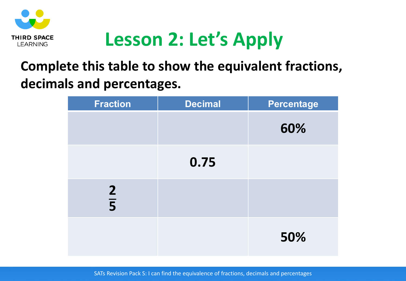

# **Lesson 2: Let's Apply**

#### **Complete this table to show the equivalent fractions, decimals and percentages.**

| <b>Fraction</b> | <b>Decimal</b> | <b>Percentage</b> |
|-----------------|----------------|-------------------|
|                 |                | 60%               |
|                 | 0.75           |                   |
| $rac{2}{5}$     |                |                   |
|                 |                | 50%               |

SATs Revision Pack S: I can find the equivalence of fractions, decimals and percentages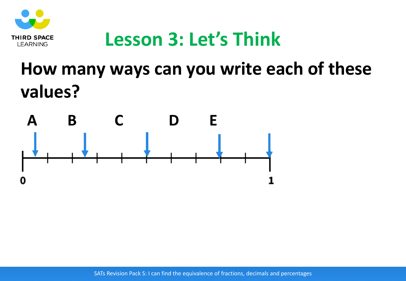

#### **Lesson 3: Let's Think**

#### **How many ways can you write each of these values?**